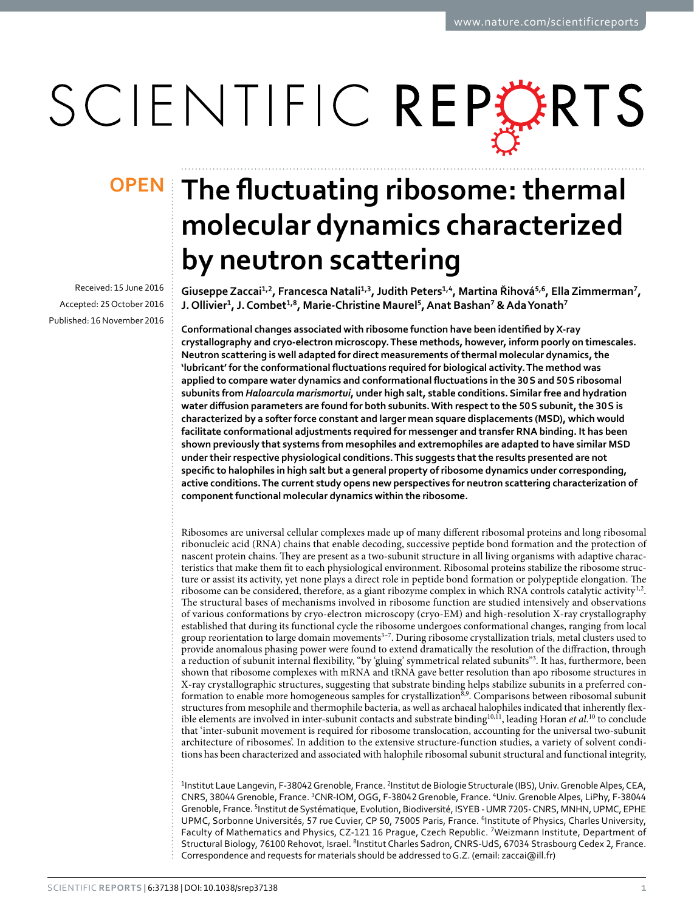# SCIENTIFIC REPERTS

Received: 15 June 2016 accepted: 25 October 2016 Published: 16 November 2016

## **The fluctuating ribosome: thermal OPENmolecular dynamics characterized by neutron scattering**

**GiuseppeZaccai1,2, Francesca Natali1,3, Judith Peters1,4, Martina Řihová5,6, Ella Zimmerman7, J. Ollivier1, J. Combet1,8, Marie-Christine Maurel5, Anat Bashan7 & AdaYonath7**

**Conformational changes associated with ribosome function have been identified by X-ray crystallography and cryo-electron microscopy. These methods, however, inform poorly on timescales. Neutron scattering is well adapted for direct measurements of thermal molecular dynamics, the 'lubricant' for the conformational fluctuations required for biological activity. The method was applied to compare water dynamics and conformational fluctuations in the 30S and 50S ribosomal subunits from** *Haloarcula marismortui***, under high salt, stable conditions. Similar free and hydration water diffusion parameters are found for both subunits. With respect to the 50S subunit, the 30S is characterized by a softer force constant and larger mean square displacements (MSD), which would facilitate conformational adjustments required for messenger and transfer RNA binding. It has been shown previously that systems from mesophiles and extremophiles are adapted to have similar MSD under their respective physiological conditions. This suggests that the results presented are not specific to halophiles in high salt but a general property of ribosome dynamics under corresponding, active conditions. The current study opens new perspectives for neutron scattering characterization of component functional molecular dynamics within the ribosome.**

Ribosomes are universal cellular complexes made up of many different ribosomal proteins and long ribosomal ribonucleic acid (RNA) chains that enable decoding, successive peptide bond formation and the protection of nascent protein chains. They are present as a two-subunit structure in all living organisms with adaptive characteristics that make them fit to each physiological environment. Ribosomal proteins stabilize the ribosome structure or assist its activity, yet none plays a direct role in peptide bond formation or polypeptide elongation. The ribosome can be considered, therefore, as a giant ribozyme complex in which RNA controls catalytic activity<sup>[1](#page-5-0),2</sup>. The structural bases of mechanisms involved in ribosome function are studied intensively and observations of various conformations by cryo-electron microscopy (cryo-EM) and high-resolution X-ray crystallography established that during its functional cycle the ribosome undergoes conformational changes, ranging from local group reorientation to large domain movements<sup>3-7</sup>. During ribosome crystallization trials, metal clusters used to provide anomalous phasing power were found to extend dramatically the resolution of the diffraction, through a reduction of subunit internal flexibility, "by 'gluing' symmetrical related subunits["3](#page-5-2) . It has, furthermore, been shown that ribosome complexes with mRNA and tRNA gave better resolution than apo ribosome structures in X-ray crystallographic structures, suggesting that substrate binding helps stabilize subunits in a preferred con-formation to enable more homogeneous samples for crystallization<sup>[8](#page-5-3),9</sup>. Comparisons between ribosomal subunit structures from mesophile and thermophile bacteria, as well as archaeal halophiles indicated that inherently flexible elements are involved in inter-subunit contacts and substrate binding<sup>10,11</sup>, leading Horan *et al.*<sup>10</sup> to conclude that 'inter-subunit movement is required for ribosome translocation, accounting for the universal two-subunit architecture of ribosomes'. In addition to the extensive structure-function studies, a variety of solvent conditions has been characterized and associated with halophile ribosomal subunit structural and functional integrity,

<sup>1</sup>Institut Laue Langevin, F-38042 Grenoble, France. <sup>2</sup>Institut de Biologie Structurale (IBS), Univ. Grenoble Alpes, CEA, CNRS, 38044 Grenoble, France. <sup>3</sup>CNR-IOM, OGG, F-38042 Grenoble, France. <sup>4</sup>Univ. Grenoble Alpes, LiPhy, F-38044 Grenoble, France. <sup>5</sup>Institut de Systématique, Evolution, Biodiversité, ISYEB - UMR 7205-CNRS, MNHN, UPMC, EPHE UPMC, Sorbonne Universités, 57 rue Cuvier, CP 50, 75005 Paris, France. <sup>6</sup>Institute of Physics, Charles University, Faculty of Mathematics and Physics, CZ-121 16 Prague, Czech Republic. 7Weizmann Institute, Department of Structural Biology, 76100 Rehovot, Israel. <sup>8</sup>Institut Charles Sadron, CNRS-UdS, 67034 Strasbourg Cedex 2, France. Correspondence and requests for materials should be addressed to G.Z. (email: [zaccai@ill.fr](mailto:zaccai@ill.fr))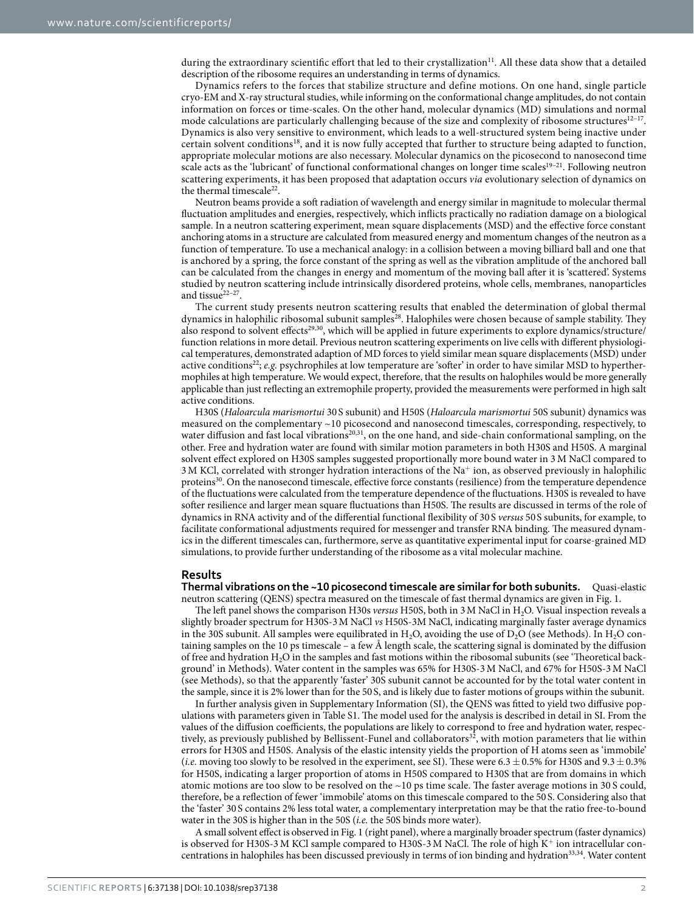during the extraordinary scientific effort that led to their crystallization<sup>[11](#page-5-6)</sup>. All these data show that a detailed description of the ribosome requires an understanding in terms of dynamics.

Dynamics refers to the forces that stabilize structure and define motions. On one hand, single particle cryo-EM and X-ray structural studies, while informing on the conformational change amplitudes, do not contain information on forces or time-scales. On the other hand, molecular dynamics (MD) simulations and normal mode calculations are particularly challenging because of the size and complexity of ribosome structures<sup>12-17</sup>. Dynamics is also very sensitive to environment, which leads to a well-structured system being inactive under certain solvent conditions[18](#page-5-8), and it is now fully accepted that further to structure being adapted to function, appropriate molecular motions are also necessary. Molecular dynamics on the picosecond to nanosecond time scale acts as the 'lubricant' of functional conformational changes on longer time scales<sup>19–21</sup>. Following neutron scattering experiments, it has been proposed that adaptation occurs *via* evolutionary selection of dynamics on the thermal timescale<sup>[22](#page-5-10)</sup>.

Neutron beams provide a soft radiation of wavelength and energy similar in magnitude to molecular thermal fluctuation amplitudes and energies, respectively, which inflicts practically no radiation damage on a biological sample. In a neutron scattering experiment, mean square displacements (MSD) and the effective force constant anchoring atoms in a structure are calculated from measured energy and momentum changes of the neutron as a function of temperature. To use a mechanical analogy: in a collision between a moving billiard ball and one that is anchored by a spring, the force constant of the spring as well as the vibration amplitude of the anchored ball can be calculated from the changes in energy and momentum of the moving ball after it is 'scattered'. Systems studied by neutron scattering include intrinsically disordered proteins, whole cells, membranes, nanoparticles and tissue $2^{2-27}$ .

The current study presents neutron scattering results that enabled the determination of global thermal dynamics in halophilic ribosomal subunit samples<sup>[28](#page-5-11)</sup>. Halophiles were chosen because of sample stability. They also respond to solvent effects<sup>29[,30](#page-5-13)</sup>, which will be applied in future experiments to explore dynamics/structure/ function relations in more detail. Previous neutron scattering experiments on live cells with different physiological temperatures, demonstrated adaption of MD forces to yield similar mean square displacements (MSD) under active conditions<sup>[22](#page-5-10)</sup>; *e.g.* psychrophiles at low temperature are 'softer' in order to have similar MSD to hyperthermophiles at high temperature. We would expect, therefore, that the results on halophiles would be more generally applicable than just reflecting an extremophile property, provided the measurements were performed in high salt active conditions.

H30S (*Haloarcula marismortui* 30 S subunit) and H50S (*Haloarcula marismortui* 50S subunit) dynamics was measured on the complementary ~10 picosecond and nanosecond timescales, corresponding, respectively, to water diffusion and fast local vibrations<sup>20[,31](#page-5-15)</sup>, on the one hand, and side-chain conformational sampling, on the other. Free and hydration water are found with similar motion parameters in both H30S and H50S. A marginal solvent effect explored on H30S samples suggested proportionally more bound water in 3 M NaCl compared to 3M KCl, correlated with stronger hydration interactions of the Na<sup>+</sup> ion, as observed previously in halophilic proteins<sup>30</sup>. On the nanosecond timescale, effective force constants (resilience) from the temperature dependence of the fluctuations were calculated from the temperature dependence of the fluctuations. H30S is revealed to have softer resilience and larger mean square fluctuations than H50S. The results are discussed in terms of the role of dynamics in RNA activity and of the differential functional flexibility of 30 S *versus* 50 S subunits, for example, to facilitate conformational adjustments required for messenger and transfer RNA binding. The measured dynamics in the different timescales can, furthermore, serve as quantitative experimental input for coarse-grained MD simulations, to provide further understanding of the ribosome as a vital molecular machine.

#### **Results**

**Thermal vibrations on the ~10 picosecond timescale are similar for both subunits.** Quasi-elastic neutron scattering (QENS) spectra measured on the timescale of fast thermal dynamics are given in [Fig. 1](#page-2-0).

The left panel shows the comparison H30s *versus* H50S, both in 3 M NaCl in H<sub>2</sub>O. Visual inspection reveals a slightly broader spectrum for H30S-3M NaCl *vs* H50S-3M NaCl, indicating marginally faster average dynamics in the 30S subunit. All samples were equilibrated in H<sub>2</sub>O, avoiding the use of  $D_2O$  (see Methods). In H<sub>2</sub>O containing samples on the 10 ps timescale – a few Å length scale, the scattering signal is dominated by the diffusion of free and hydration H<sub>2</sub>O in the samples and fast motions within the ribosomal subunits (see 'Theoretical background' in Methods). Water content in the samples was 65% for H30S-3M NaCl, and 67% for H50S-3M NaCl (see Methods), so that the apparently 'faster' 30S subunit cannot be accounted for by the total water content in the sample, since it is 2% lower than for the 50 S, and is likely due to faster motions of groups within the subunit.

In further analysis given in Supplementary Information (SI), the QENS was fitted to yield two diffusive populations with parameters given in Table S1. The model used for the analysis is described in detail in SI. From the values of the diffusion coefficients, the populations are likely to correspond to free and hydration water, respec-tively, as previously published by Bellissent-Funel and collaborators<sup>[32](#page-5-16)</sup>, with motion parameters that lie within errors for H30S and H50S. Analysis of the elastic intensity yields the proportion of H atoms seen as 'immobile' (*i.e.* moving too slowly to be resolved in the experiment, see SI). These were  $6.3 \pm 0.5\%$  for H30S and  $9.3 \pm 0.3\%$ for H50S, indicating a larger proportion of atoms in H50S compared to H30S that are from domains in which atomic motions are too slow to be resolved on the ~10 ps time scale. The faster average motions in 30 S could, therefore, be a reflection of fewer 'immobile' atoms on this timescale compared to the 50 S. Considering also that the 'faster' 30 S contains 2% less total water, a complementary interpretation may be that the ratio free-to-bound water in the 30S is higher than in the 50S (*i.e.* the 50S binds more water).

A small solvent effect is observed in [Fig. 1](#page-2-0) (right panel), where a marginally broader spectrum (faster dynamics) is observed for H30S-3M KCl sample compared to H30S-3 M NaCl. The role of high K<sup>+</sup> ion intracellular concentrations in halophiles has been discussed previously in terms of ion binding and hydration[33](#page-5-17),[34](#page-5-18). Water content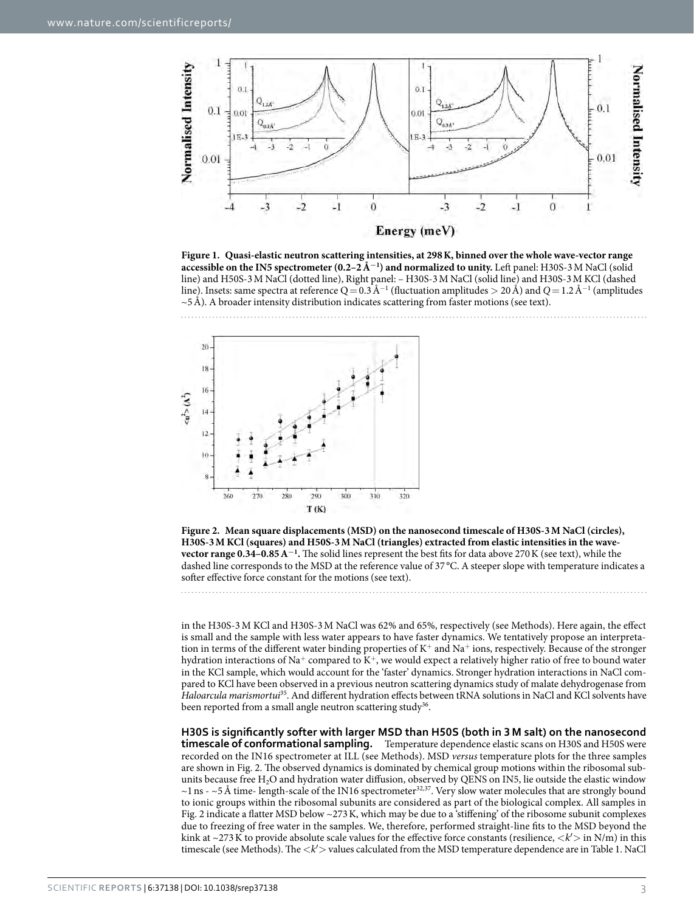

Energy (meV)

<span id="page-2-0"></span>**Figure 1. Quasi-elastic neutron scattering intensities, at 298K, binned over the whole wave-vector range accessible on the IN5 spectrometer (0.2–2Å<sup>−</sup><sup>1</sup> ) and normalized to unity.** Left panel: H30S-3M NaCl (solid line) and H50S-3M NaCl (dotted line), Right panel: – H30S-3M NaCl (solid line) and H30S-3M KCl (dashed line). Insets: same spectra at reference Q = 0.3 Å<sup>−1</sup> (fluctuation amplitudes > 20 Å) and Q = 1.2 Å<sup>−1</sup> (amplitudes  $\sim$  5Å). A broader intensity distribution indicates scattering from faster motions (see text).





<span id="page-2-1"></span>**Figure 2. Mean square displacements (MSD) on the nanosecond timescale of H30S-3M NaCl (circles), H30S-3M KCl (squares) and H50S-3M NaCl (triangles) extracted from elastic intensities in the wavevector range 0.34–0.85A<sup>−</sup><sup>1</sup> .** The solid lines represent the best fits for data above 270K (see text), while the dashed line corresponds to the MSD at the reference value of 37 °C. A steeper slope with temperature indicates a softer effective force constant for the motions (see text).

in the H30S-3M KCl and H30S-3M NaCl was 62% and 65%, respectively (see Methods). Here again, the effect is small and the sample with less water appears to have faster dynamics. We tentatively propose an interpretation in terms of the different water binding properties of K<sup>+</sup> and Na<sup>+</sup> ions, respectively. Because of the stronger hydration interactions of Na<sup>+</sup> compared to  $K^+$ , we would expect a relatively higher ratio of free to bound water in the KCl sample, which would account for the 'faster' dynamics. Stronger hydration interactions in NaCl compared to KCl have been observed in a previous neutron scattering dynamics study of malate dehydrogenase from *Haloarcula marismortui*[35](#page-5-19). And different hydration effects between tRNA solutions in NaCl and KCl solvents have been reported from a small angle neutron scattering study<sup>36</sup>.

**H30S is significantly softer with larger MSD than H50S (both in 3 M salt) on the nanosecond timescale of conformational sampling.** Temperature dependence elastic scans on H30S and H50S were recorded on the IN16 spectrometer at ILL (see Methods). MSD *versus* temperature plots for the three samples are shown in [Fig. 2](#page-2-1). The observed dynamics is dominated by chemical group motions within the ribosomal subunits because free  $H_2O$  and hydration water diffusion, observed by QENS on IN5, lie outside the elastic window  $\sim$ 1 ns -  $\sim$ 5Å time- length-scale of the IN16 spectrometer<sup>32,37</sup>. Very slow water molecules that are strongly bound to ionic groups within the ribosomal subunits are considered as part of the biological complex. All samples in [Fig. 2](#page-2-1) indicate a flatter MSD below ~273K, which may be due to a 'stiffening' of the ribosome subunit complexes due to freezing of free water in the samples. We, therefore, performed straight-line fits to the MSD beyond the kink at  $\sim$ 273K to provide absolute scale values for the effective force constants (resilience,  $\langle k' \rangle$  in N/m) in this timescale (see Methods). The <*k*′> values calculated from the MSD temperature dependence are in [Table 1](#page-3-0). NaCl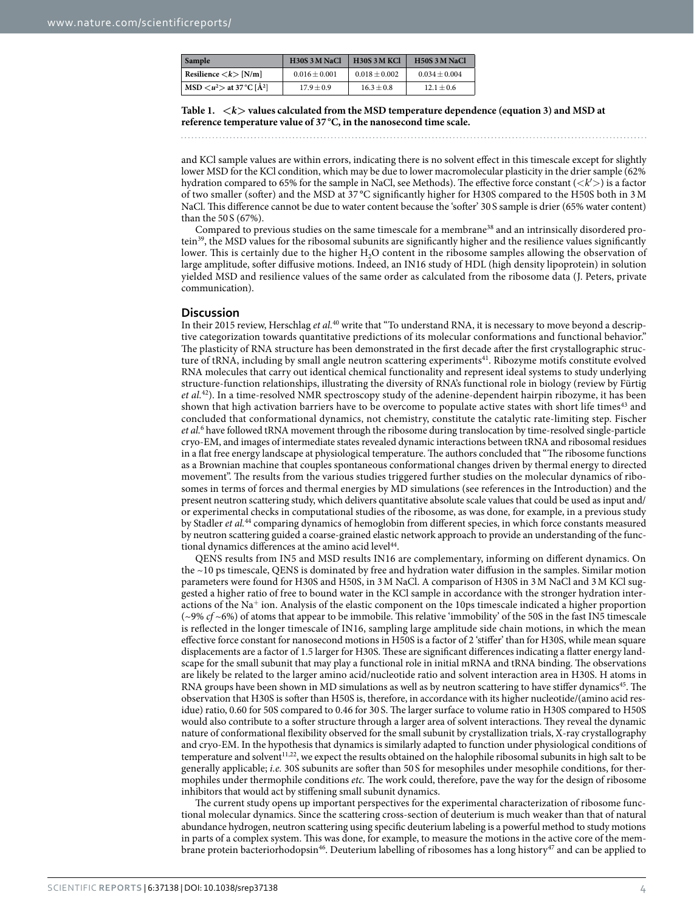<span id="page-3-0"></span>

| <b>Sample</b>                          | H30S 3 M NaCl     | H <sub>30</sub> S <sub>3</sub> M <sub>KCl</sub> | <b>H50S 3 M NaCl</b> |
|----------------------------------------|-------------------|-------------------------------------------------|----------------------|
| Resilience $\langle k \rangle$ [N/m]   | $0.016 \pm 0.001$ | $0.018 + 0.002$                                 | $0.034 \pm 0.004$    |
| $MSD < u^2$ at 37 °C [Å <sup>2</sup> ] | $17.9 + 0.9$      | $16.3 + 0.8$                                    | $12.1 + 0.6$         |

**Table 1. <***k***> values calculated from the MSD temperature dependence (equation 3) and MSD at reference temperature value of 37 °C, in the nanosecond time scale.**

and KCl sample values are within errors, indicating there is no solvent effect in this timescale except for slightly lower MSD for the KCl condition, which may be due to lower macromolecular plasticity in the drier sample (62% hydration compared to 65% for the sample in NaCl, see Methods). The effective force constant (<*k*′>) is a factor of two smaller (softer) and the MSD at 37 °C significantly higher for H30S compared to the H50S both in 3M NaCl. This difference cannot be due to water content because the 'softer' 30 S sample is drier (65% water content) than the 50 S (67%).

Compared to previous studies on the same timescale for a membrane[38](#page-6-1) and an intrinsically disordered pro-tein<sup>[39](#page-6-2)</sup>, the MSD values for the ribosomal subunits are significantly higher and the resilience values significantly lower. This is certainly due to the higher H<sub>2</sub>O content in the ribosome samples allowing the observation of large amplitude, softer diffusive motions. Indeed, an IN16 study of HDL (high density lipoprotein) in solution yielded MSD and resilience values of the same order as calculated from the ribosome data (J. Peters, private communication).

#### **Discussion**

In their 2015 review, Herschlag *et al.*[40](#page-6-3) write that "To understand RNA, it is necessary to move beyond a descriptive categorization towards quantitative predictions of its molecular conformations and functional behavior." The plasticity of RNA structure has been demonstrated in the first decade after the first crystallographic struc-ture of tRNA, including by small angle neutron scattering experiments<sup>[41](#page-6-4)</sup>. Ribozyme motifs constitute evolved RNA molecules that carry out identical chemical functionality and represent ideal systems to study underlying structure-function relationships, illustrating the diversity of RNA's functional role in biology (review by Fürtig *et al.*[42\)](#page-6-5). In a time-resolved NMR spectroscopy study of the adenine-dependent hairpin ribozyme, it has been shown that high activation barriers have to be overcome to populate active states with short life times<sup>43</sup> and concluded that conformational dynamics, not chemistry, constitute the catalytic rate-limiting step. Fischer *et al.*[6](#page-5-21) have followed tRNA movement through the ribosome during translocation by time-resolved single-particle cryo-EM, and images of intermediate states revealed dynamic interactions between tRNA and ribosomal residues in a flat free energy landscape at physiological temperature. The authors concluded that "The ribosome functions as a Brownian machine that couples spontaneous conformational changes driven by thermal energy to directed movement". The results from the various studies triggered further studies on the molecular dynamics of ribosomes in terms of forces and thermal energies by MD simulations (see references in the Introduction) and the present neutron scattering study, which delivers quantitative absolute scale values that could be used as input and/ or experimental checks in computational studies of the ribosome, as was done, for example, in a previous study by Stadler *et al.*[44](#page-6-7) comparing dynamics of hemoglobin from different species, in which force constants measured by neutron scattering guided a coarse-grained elastic network approach to provide an understanding of the functional dynamics differences at the amino acid level<sup>44</sup>.

QENS results from IN5 and MSD results IN16 are complementary, informing on different dynamics. On the ~10 ps timescale, QENS is dominated by free and hydration water diffusion in the samples. Similar motion parameters were found for H30S and H50S, in 3M NaCl. A comparison of H30S in 3M NaCl and 3M KCl suggested a higher ratio of free to bound water in the KCl sample in accordance with the stronger hydration interactions of the Na<sup>+</sup> ion. Analysis of the elastic component on the 10ps timescale indicated a higher proportion (~9% *cf* ~6%) of atoms that appear to be immobile. This relative 'immobility' of the 50S in the fast IN5 timescale is reflected in the longer timescale of IN16, sampling large amplitude side chain motions, in which the mean effective force constant for nanosecond motions in H50S is a factor of 2 'stiffer' than for H30S, while mean square displacements are a factor of 1.5 larger for H30S. These are significant differences indicating a flatter energy landscape for the small subunit that may play a functional role in initial mRNA and tRNA binding. The observations are likely be related to the larger amino acid/nucleotide ratio and solvent interaction area in H30S. H atoms in RNA groups have been shown in MD simulations as well as by neutron scattering to have stiffer dynamics<sup>[45](#page-6-8)</sup>. The observation that H30S is softer than H50S is, therefore, in accordance with its higher nucleotide/(amino acid residue) ratio, 0.60 for 50S compared to 0.46 for 30 S. The larger surface to volume ratio in H30S compared to H50S would also contribute to a softer structure through a larger area of solvent interactions. They reveal the dynamic nature of conformational flexibility observed for the small subunit by crystallization trials, X-ray crystallography and cryo-EM. In the hypothesis that dynamics is similarly adapted to function under physiological conditions of temperature and solvent<sup>[11,](#page-5-6)[22](#page-5-10)</sup>, we expect the results obtained on the halophile ribosomal subunits in high salt to be generally applicable; *i.e.* 30S subunits are softer than 50 S for mesophiles under mesophile conditions, for thermophiles under thermophile conditions *etc.* The work could, therefore, pave the way for the design of ribosome inhibitors that would act by stiffening small subunit dynamics.

The current study opens up important perspectives for the experimental characterization of ribosome functional molecular dynamics. Since the scattering cross-section of deuterium is much weaker than that of natural abundance hydrogen, neutron scattering using specific deuterium labeling is a powerful method to study motions in parts of a complex system. This was done, for example, to measure the motions in the active core of the mem-brane protein bacteriorhodopsin<sup>[46](#page-6-9)</sup>. Deuterium labelling of ribosomes has a long history<sup>47</sup> and can be applied to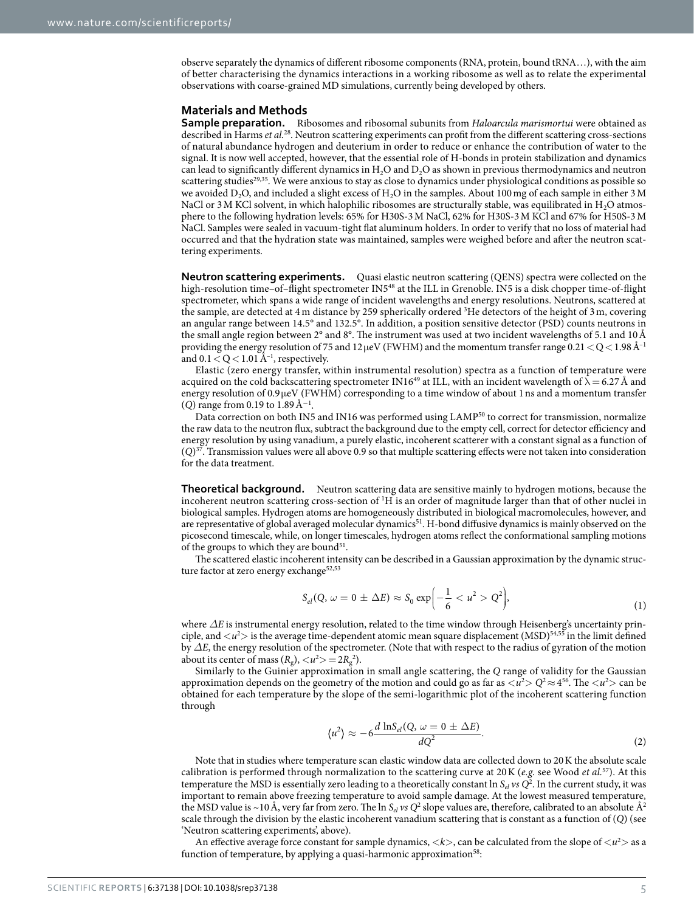observe separately the dynamics of different ribosome components (RNA, protein, bound tRNA…), with the aim of better characterising the dynamics interactions in a working ribosome as well as to relate the experimental observations with coarse-grained MD simulations, currently being developed by others.

#### **Materials and Methods**

**Sample preparation.** Ribosomes and ribosomal subunits from *Haloarcula marismortui* were obtained as described in Harms *et al.*[28](#page-5-11). Neutron scattering experiments can profit from the different scattering cross-sections of natural abundance hydrogen and deuterium in order to reduce or enhance the contribution of water to the signal. It is now well accepted, however, that the essential role of H-bonds in protein stabilization and dynamics can lead to significantly different dynamics in H<sub>2</sub>O and D<sub>2</sub>O as shown in previous thermodynamics and neutron scattering studies<sup>29[,35](#page-5-19)</sup>. We were anxious to stay as close to dynamics under physiological conditions as possible so we avoided D<sub>2</sub>O, and included a slight excess of H<sub>2</sub>O in the samples. About 100 mg of each sample in either 3 M NaCl or 3 M KCl solvent, in which halophilic ribosomes are structurally stable, was equilibrated in  $H<sub>2</sub>O$  atmosphere to the following hydration levels: 65% for H30S-3M NaCl, 62% for H30S-3M KCl and 67% for H50S-3M NaCl. Samples were sealed in vacuum-tight flat aluminum holders. In order to verify that no loss of material had occurred and that the hydration state was maintained, samples were weighed before and after the neutron scattering experiments.

**Neutron scattering experiments.** Quasi elastic neutron scattering (QENS) spectra were collected on the high-resolution time–of–flight spectrometer IN5<sup>48</sup> at the ILL in Grenoble. IN5 is a disk chopper time-of-flight spectrometer, which spans a wide range of incident wavelengths and energy resolutions. Neutrons, scattered at the sample, are detected at 4 m distance by 259 spherically ordered <sup>3</sup>He detectors of the height of 3 m, covering an angular range between 14.5° and 132.5°. In addition, a position sensitive detector (PSD) counts neutrons in the small angle region between 2° and 8°. The instrument was used at two incident wavelengths of 5.1 and 10Å providing the energy resolution of 75 and 12 μeV (FWHM) and the momentum transfer range  $0.21 < Q < 1.98$ Å<sup>-1</sup> and  $0.1 < Q < 1.01$  Å<sup>-1</sup>, respectively.

Elastic (zero energy transfer, within instrumental resolution) spectra as a function of temperature were acquired on the cold backscattering spectrometer IN16<sup>49</sup> at ILL, with an incident wavelength of  $\lambda$  = 6.27 Å and energy resolution of 0.9μeV (FWHM) corresponding to a time window of about 1ns and a momentum transfer (*Q*) range from 0.19 to 1.89Å<sup>−</sup><sup>1</sup> .

Data correction on both IN5 and IN16 was performed using LAMP<sup>[50](#page-6-13)</sup> to correct for transmission, normalize the raw data to the neutron flux, subtract the background due to the empty cell, correct for detector efficiency and energy resolution by using vanadium, a purely elastic, incoherent scatterer with a constant signal as a function of  $(Q)^{37}$ . Transmission values were all above 0.9 so that multiple scattering effects were not taken into consideration for the data treatment.

**Theoretical background.** Neutron scattering data are sensitive mainly to hydrogen motions, because the incoherent neutron scattering cross-section of <sup>1</sup>H is an order of magnitude larger than that of other nuclei in biological samples. Hydrogen atoms are homogeneously distributed in biological macromolecules, however, and are representative of global averaged molecular dynamics<sup>[51](#page-6-14)</sup>. H-bond diffusive dynamics is mainly observed on the picosecond timescale, while, on longer timescales, hydrogen atoms reflect the conformational sampling motions of the groups to which they are bound<sup>51</sup>.

The scattered elastic incoherent intensity can be described in a Gaussian approximation by the dynamic struc-ture factor at zero energy exchange<sup>[52](#page-6-15),[53](#page-6-16)</sup>

$$
S_{el}(Q, \omega = 0 \pm \Delta E) \approx S_0 \exp\left(-\frac{1}{6} < u^2 > Q^2\right),\tag{1}
$$

where  $ΔE$  is instrumental energy resolution, related to the time window through Heisenberg's uncertainty principle, and  $\langle u^2 \rangle$  is the average time-dependent atomic mean square displacement (MSD)<sup>54,55</sup> in the limit defined by *ΔE*, the energy resolution of the spectrometer. (Note that with respect to the radius of gyration of the motion about its center of mass  $(R_g)$ ,  $\langle u^2 \rangle = 2R_g^2$ ).

Similarly to the Guinier approximation in small angle scattering, the *Q* range of validity for the Gaussian approximation depends on the geometry of the motion and could go as far as  $\langle u^2 \rangle Q^2 \approx 4^{56}$ . The  $\langle u^2 \rangle$  can be obtained for each temperature by the slope of the semi-logarithmic plot of the incoherent scattering function through

$$
\langle u^2 \rangle \approx -6 \frac{d \ln S_{el}(Q, \omega = 0 \pm \Delta E)}{dQ^2}.
$$
 (2)

Note that in studies where temperature scan elastic window data are collected down to 20K the absolute scale calibration is performed through normalization to the scattering curve at 20K (*e.g.* see Wood *et al.*[57\)](#page-6-20). At this temperature the MSD is essentially zero leading to a theoretically constant  $\ln S_{el}$  *vs*  $Q^2$ . In the current study, it was important to remain above freezing temperature to avoid sample damage. At the lowest measured temperature, the MSD value is ~10 Å, very far from zero. The  $\ln S_{el}$  *vs Q*<sup>2</sup> slope values are, therefore, calibrated to an absolute Å<sup>2</sup> scale through the division by the elastic incoherent vanadium scattering that is constant as a function of (*Q*) (see 'Neutron scattering experiments', above).

An effective average force constant for sample dynamics,  $\langle k \rangle$ , can be calculated from the slope of  $\langle u^2 \rangle$  as a function of temperature, by applying a quasi-harmonic approximation<sup>58</sup>: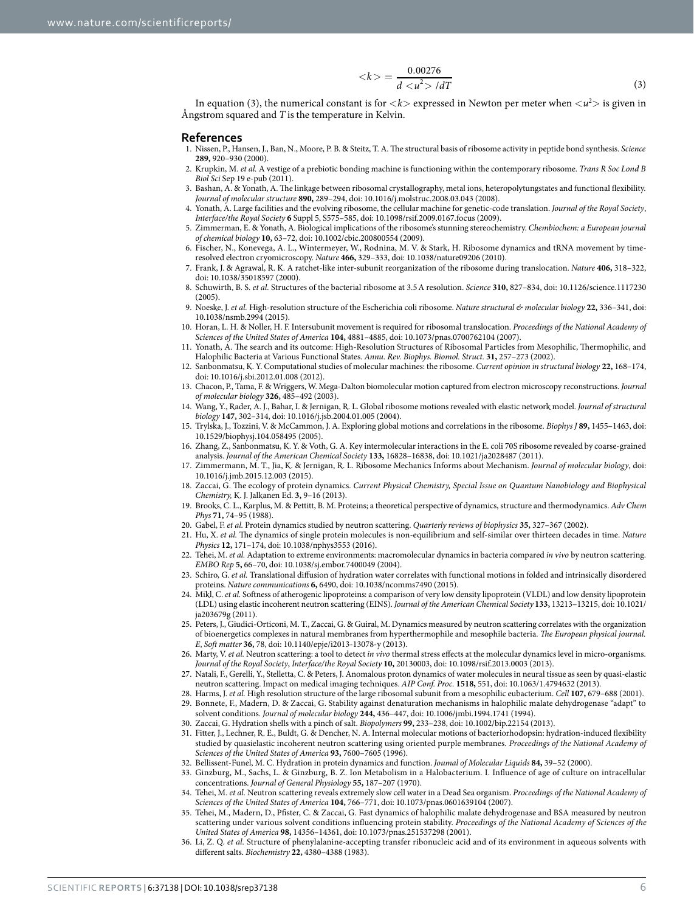$$
\langle k \rangle = \frac{0.00276}{d \langle u^2 \rangle / dT} \tag{3}
$$

In equation (3), the numerical constant is for  $\langle k \rangle$  expressed in Newton per meter when  $\langle u^2 \rangle$  is given in Ångstrom squared and *T* is the temperature in Kelvin.

#### **References**

- <span id="page-5-0"></span>1. Nissen, P., Hansen, J., Ban, N., Moore, P. B. & Steitz, T. A. The structural basis of ribosome activity in peptide bond synthesis. *Science* **289,** 920–930 (2000).
- <span id="page-5-1"></span>2. Krupkin, M. *et al.* A vestige of a prebiotic bonding machine is functioning within the contemporary ribosome. *Trans R Soc Lond B Biol Sci* Sep 19 e-pub (2011).
- <span id="page-5-2"></span>3. Bashan, A. & Yonath, A. The linkage between ribosomal crystallography, metal ions, heteropolytungstates and functional flexibility. *Journal of molecular structure* **890,** 289–294, doi: 10.1016/j.molstruc.2008.03.043 (2008).
- 4. Yonath, A. Large facilities and the evolving ribosome, the cellular machine for genetic-code translation. *Journal of the Royal Society*, *Interface/the Royal Society* **6** Suppl 5, S575–585, doi: 10.1098/rsif.2009.0167.focus (2009).
- 5. Zimmerman, E. & Yonath, A. Biological implications of the ribosome's stunning stereochemistry. *Chembiochem: a European journal of chemical biology* **10,** 63–72, doi: 10.1002/cbic.200800554 (2009).
- <span id="page-5-21"></span>6. Fischer, N., Konevega, A. L., Wintermeyer, W., Rodnina, M. V. & Stark, H. Ribosome dynamics and tRNA movement by timeresolved electron cryomicroscopy. *Nature* **466,** 329–333, doi: 10.1038/nature09206 (2010).
- 7. Frank, J. & Agrawal, R. K. A ratchet-like inter-subunit reorganization of the ribosome during translocation. *Nature* **406,** 318–322, doi: 10.1038/35018597 (2000).
- <span id="page-5-3"></span>8. Schuwirth, B. S. *et al.* Structures of the bacterial ribosome at 3.5A resolution. *Science* **310,** 827–834, doi: 10.1126/science.1117230  $(2005)$
- <span id="page-5-4"></span>9. Noeske, J. *et al.* High-resolution structure of the Escherichia coli ribosome. *Nature structural & molecular biology* **22,** 336–341, doi: 10.1038/nsmb.2994 (2015).
- <span id="page-5-5"></span>10. Horan, L. H. & Noller, H. F. Intersubunit movement is required for ribosomal translocation. *Proceedings of the National Academy of Sciences of the United States of America* **104,** 4881–4885, doi: 10.1073/pnas.0700762104 (2007).
- <span id="page-5-6"></span>11. Yonath, A. The search and its outcome: High-Resolution Structures of Ribosomal Particles from Mesophilic, Thermophilic, and Halophilic Bacteria at Various Functional States. *Annu. Rev. Biophys. Biomol. Struct.* **31,** 257–273 (2002).
- <span id="page-5-7"></span>12. Sanbonmatsu, K. Y. Computational studies of molecular machines: the ribosome. *Current opinion in structural biology* **22,** 168–174, doi: 10.1016/j.sbi.2012.01.008 (2012).
- 13. Chacon, P., Tama, F. & Wriggers, W. Mega-Dalton biomolecular motion captured from electron microscopy reconstructions. *Journal of molecular biology* **326,** 485–492 (2003).
- 14. Wang, Y., Rader, A. J., Bahar, I. & Jernigan, R. L. Global ribosome motions revealed with elastic network model. *Journal of structural biology* **147,** 302–314, doi: 10.1016/j.jsb.2004.01.005 (2004).
- 15. Trylska, J., Tozzini, V. & McCammon, J. A. Exploring global motions and correlations in the ribosome. *Biophys J* **89,** 1455–1463, doi: 10.1529/biophysj.104.058495 (2005).
- 16. Zhang, Z., Sanbonmatsu, K. Y. & Voth, G. A. Key intermolecular interactions in the E. coli 70S ribosome revealed by coarse-grained analysis. *Journal of the American Chemical Society* **133,** 16828–16838, doi: 10.1021/ja2028487 (2011).
- 17. Zimmermann, M. T., Jia, K. & Jernigan, R. L. Ribosome Mechanics Informs about Mechanism. *Journal of molecular biology*, doi: 10.1016/j.jmb.2015.12.003 (2015).
- <span id="page-5-8"></span>18. Zaccai, G. The ecology of protein dynamics. *Current Physical Chemistry, Special Issue on Quantum Nanobiology and Biophysical Chemistry,* K. J. Jalkanen Ed. **3,** 9–16 (2013).
- <span id="page-5-9"></span>19. Brooks, C. L., Karplus, M. & Pettitt, B. M. Proteins; a theoretical perspective of dynamics, structure and thermodynamics. *Adv Chem Phys* **71,** 74–95 (1988).
- <span id="page-5-14"></span>20. Gabel, F. *et al.* Protein dynamics studied by neutron scattering. *Quarterly reviews of biophysics* **35,** 327–367 (2002).
- 21. Hu, X. *et al.* The dynamics of single protein molecules is non-equilibrium and self-similar over thirteen decades in time. *Nature Physics* **12,** 171–174, doi: 10.1038/nphys3553 (2016).
- <span id="page-5-10"></span>22. Tehei, M. *et al.* Adaptation to extreme environments: macromolecular dynamics in bacteria compared *in vivo* by neutron scattering. *EMBO Rep* **5,** 66–70, doi: 10.1038/sj.embor.7400049 (2004).
- 23. Schiro, G. *et al.* Translational diffusion of hydration water correlates with functional motions in folded and intrinsically disordered proteins. *Nature communications* **6,** 6490, doi: 10.1038/ncomms7490 (2015).
- 24. Mikl, C. *et al.* Softness of atherogenic lipoproteins: a comparison of very low density lipoprotein (VLDL) and low density lipoprotein (LDL) using elastic incoherent neutron scattering (EINS). *Journal of the American Chemical Society* **133,** 13213–13215, doi: 10.1021/ ja203679g (2011).
- 25. Peters, J., Giudici-Orticoni, M. T., Zaccai, G. & Guiral, M. Dynamics measured by neutron scattering correlates with the organization of bioenergetics complexes in natural membranes from hyperthermophile and mesophile bacteria. *The European physical journal. E*, *Soft matter* **36,** 78, doi: 10.1140/epje/i2013-13078-y (2013).
- 26. Marty, V. *et al.* Neutron scattering: a tool to detect *in vivo* thermal stress effects at the molecular dynamics level in micro-organisms. *Journal of the Royal Society*, *Interface/the Royal Society* **10,** 20130003, doi: 10.1098/rsif.2013.0003 (2013).
- 27. Natali, F., Gerelli, Y., Stelletta, C. & Peters, J. Anomalous proton dynamics of water molecules in neural tissue as seen by quasi-elastic neutron scattering. Impact on medical imaging techniques. *AIP Conf. Proc.* **1518,** 551, doi: 10.1063/1.4794632 (2013).
- <span id="page-5-12"></span><span id="page-5-11"></span>28. Harms, J. *et al.* High resolution structure of the large ribosomal subunit from a mesophilic eubacterium. *Cell* **107,** 679–688 (2001).
- 29. Bonnete, F., Madern, D. & Zaccai, G. Stability against denaturation mechanisms in halophilic malate dehydrogenase "adapt" to solvent conditions. *Journal of molecular biology* **244,** 436–447, doi: 10.1006/jmbi.1994.1741 (1994).
- <span id="page-5-15"></span><span id="page-5-13"></span>30. Zaccai, G. Hydration shells with a pinch of salt. *Biopolymers* **99,** 233–238, doi: 10.1002/bip.22154 (2013).
- 31. Fitter, J., Lechner, R. E., Buldt, G. & Dencher, N. A. Internal molecular motions of bacteriorhodopsin: hydration-induced flexibility studied by quasielastic incoherent neutron scattering using oriented purple membranes. *Proceedings of the National Academy of Sciences of the United States of America* **93,** 7600–7605 (1996).
- <span id="page-5-16"></span>32. Bellissent-Funel, M. C. Hydration in protein dynamics and function. *Joumal of Molecular Liquids* **84,** 39–52 (2000).
- <span id="page-5-17"></span>33. Ginzburg, M., Sachs, L. & Ginzburg, B. Z. Ion Metabolism in a Halobacterium. I. Influence of age of culture on intracellular concentrations. *Journal of General Physiology* **55,** 187–207 (1970).
- <span id="page-5-18"></span>34. Tehei, M. *et al.* Neutron scattering reveals extremely slow cell water in a Dead Sea organism. *Proceedings of the National Academy of Sciences of the United States of America* **104,** 766–771, doi: 10.1073/pnas.0601639104 (2007).
- <span id="page-5-19"></span>35. Tehei, M., Madern, D., Pfister, C. & Zaccai, G. Fast dynamics of halophilic malate dehydrogenase and BSA measured by neutron scattering under various solvent conditions influencing protein stability. *Proceedings of the National Academy of Sciences of the United States of America* **98,** 14356–14361, doi: 10.1073/pnas.251537298 (2001).
- <span id="page-5-20"></span>36. Li, Z. Q. *et al.* Structure of phenylalanine-accepting transfer ribonucleic acid and of its environment in aqueous solvents with different salts. *Biochemistry* **22,** 4380–4388 (1983).